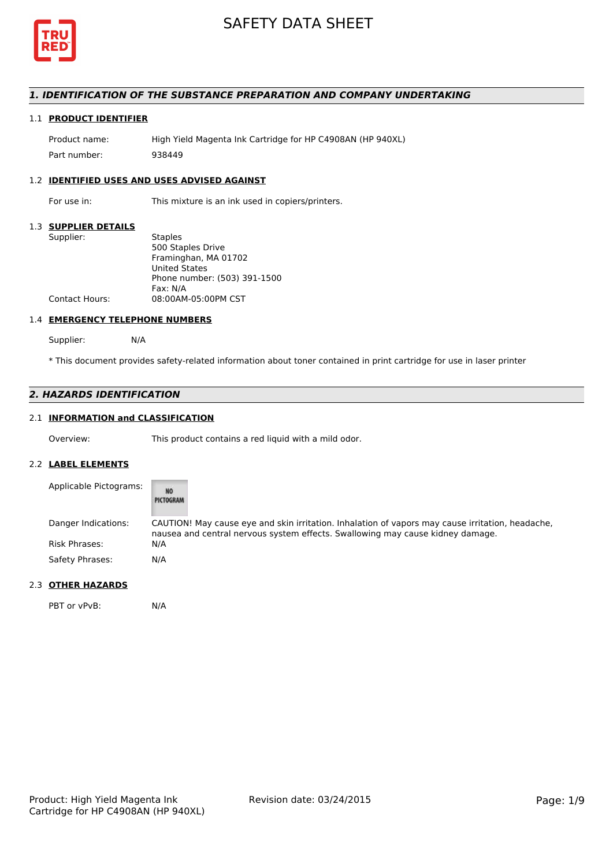

## *1. IDENTIFICATION OF THE SUBSTANCE PREPARATION AND COMPANY UNDERTAKING*

## 1.1 **PRODUCT IDENTIFIER**

Product name: High Yield Magenta Ink Cartridge for HP C4908AN (HP 940XL) Part number: 938449

### 1.2 **IDENTIFIED USES AND USES ADVISED AGAINST**

For use in: This mixture is an ink used in copiers/printers.

#### 1.3 **SUPPLIER DETAILS**

| Supplier:             | <b>Staples</b>               |
|-----------------------|------------------------------|
|                       | 500 Staples Drive            |
|                       | Framinghan, MA 01702         |
|                       | <b>United States</b>         |
|                       | Phone number: (503) 391-1500 |
|                       | Fax: N/A                     |
| <b>Contact Hours:</b> | 08:00AM-05:00PM CST          |
|                       |                              |

#### 1.4 **EMERGENCY TELEPHONE NUMBERS**

Supplier: N/A

\* This document provides safety-related information about toner contained in print cartridge for use in laser printer

## *2. HAZARDS IDENTIFICATION*

## 2.1 **INFORMATION and CLASSIFICATION**

Overview: This product contains a red liquid with a mild odor.

#### 2.2 **LABEL ELEMENTS**

| Applicable Pictograms: | <b>NO</b><br>PICTOGRAM                                                                                                                                                             |
|------------------------|------------------------------------------------------------------------------------------------------------------------------------------------------------------------------------|
| Danger Indications:    | CAUTION! May cause eye and skin irritation. Inhalation of vapors may cause irritation, headache,<br>nausea and central nervous system effects. Swallowing may cause kidney damage. |
| <b>Risk Phrases:</b>   | N/A                                                                                                                                                                                |
| Safety Phrases:        | N/A                                                                                                                                                                                |

## 2.3 **OTHER HAZARDS**

PBT or vPvB: N/A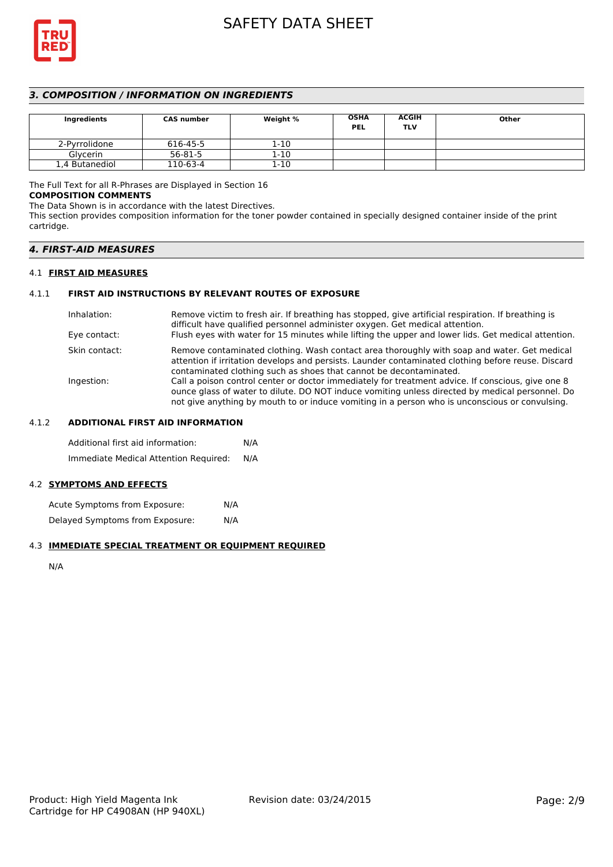

## *3. COMPOSITION / INFORMATION ON INGREDIENTS*

| Ingredients    | <b>CAS number</b> | Weight % | <b>OSHA</b><br><b>PEL</b> | <b>ACGIH</b><br>TLV | Other |
|----------------|-------------------|----------|---------------------------|---------------------|-------|
| 2-Pyrrolidone  | 616-45-5          | $1 - 10$ |                           |                     |       |
| Glycerin       | $56 - 81 - 5$     | $1 - 10$ |                           |                     |       |
| 1,4 Butanediol | 110-63-4          | $1 - 10$ |                           |                     |       |

The Full Text for all R-Phrases are Displayed in Section 16

## **COMPOSITION COMMENTS**

The Data Shown is in accordance with the latest Directives.

This section provides composition information for the toner powder contained in specially designed container inside of the print cartridge.

#### 4.1 **FIRST AID MEASURES**

## 4.1.1 **FIRST AID INSTRUCTIONS BY RELEVANT ROUTES OF EXPOSURE**

| Remove victim to fresh air. If breathing has stopped, give artificial respiration. If breathing is<br>difficult have qualified personnel administer oxygen. Get medical attention.                                                                                                                     |
|--------------------------------------------------------------------------------------------------------------------------------------------------------------------------------------------------------------------------------------------------------------------------------------------------------|
| Flush eyes with water for 15 minutes while lifting the upper and lower lids. Get medical attention.                                                                                                                                                                                                    |
| Remove contaminated clothing. Wash contact area thoroughly with soap and water. Get medical<br>attention if irritation develops and persists. Launder contaminated clothing before reuse. Discard<br>contaminated clothing such as shoes that cannot be decontaminated.                                |
| Call a poison control center or doctor immediately for treatment advice. If conscious, give one 8<br>ounce glass of water to dilute. DO NOT induce vomiting unless directed by medical personnel. Do<br>not give anything by mouth to or induce vomiting in a person who is unconscious or convulsing. |
|                                                                                                                                                                                                                                                                                                        |

### 4.1.2 **ADDITIONAL FIRST AID INFORMATION**

Additional first aid information: N/A Immediate Medical Attention Required: N/A

### 4.2 **SYMPTOMS AND EFFECTS**

Acute Symptoms from Exposure: N/A Delayed Symptoms from Exposure: N/A

### 4.3 **IMMEDIATE SPECIAL TREATMENT OR EQUIPMENT REQUIRED**

N/A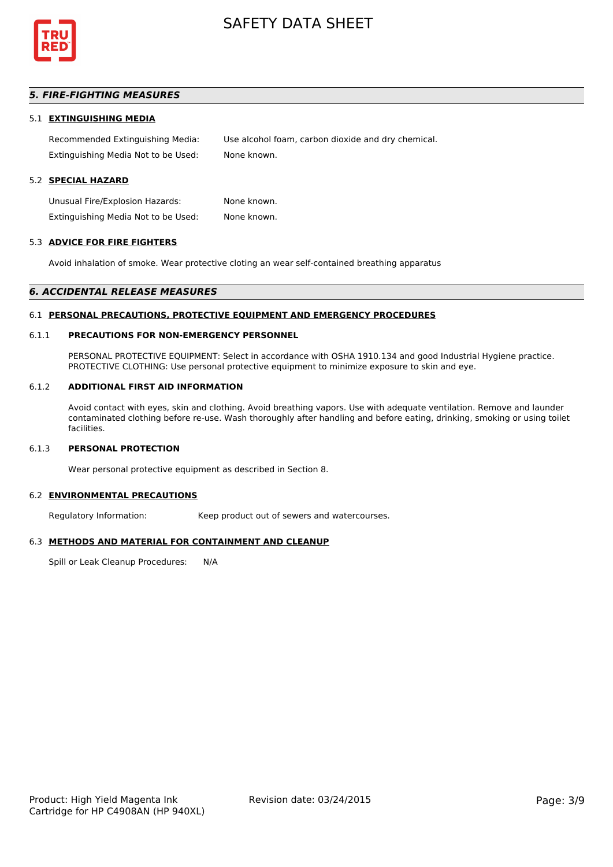

## *5. FIRE-FIGHTING MEASURES*

#### 5.1 **EXTINGUISHING MEDIA**

Recommended Extinguishing Media: Use alcohol foam, carbon dioxide and dry chemical. Extinguishing Media Not to be Used: None known.

## 5.2 **SPECIAL HAZARD**

Unusual Fire/Explosion Hazards: None known. Extinguishing Media Not to be Used: None known.

#### 5.3 **ADVICE FOR FIRE FIGHTERS**

Avoid inhalation of smoke. Wear protective cloting an wear self-contained breathing apparatus

#### *6. ACCIDENTAL RELEASE MEASURES*

#### 6.1 **PERSONAL PRECAUTIONS, PROTECTIVE EQUIPMENT AND EMERGENCY PROCEDURES**

#### 6.1.1 **PRECAUTIONS FOR NON-EMERGENCY PERSONNEL**

PERSONAL PROTECTIVE EQUIPMENT: Select in accordance with OSHA 1910.134 and good Industrial Hygiene practice. PROTECTIVE CLOTHING: Use personal protective equipment to minimize exposure to skin and eye.

#### 6.1.2 **ADDITIONAL FIRST AID INFORMATION**

Avoid contact with eyes, skin and clothing. Avoid breathing vapors. Use with adequate ventilation. Remove and launder contaminated clothing before re-use. Wash thoroughly after handling and before eating, drinking, smoking or using toilet facilities.

### 6.1.3 **PERSONAL PROTECTION**

Wear personal protective equipment as described in Section 8.

#### 6.2 **ENVIRONMENTAL PRECAUTIONS**

Regulatory Information: Keep product out of sewers and watercourses.

#### 6.3 **METHODS AND MATERIAL FOR CONTAINMENT AND CLEANUP**

Spill or Leak Cleanup Procedures: N/A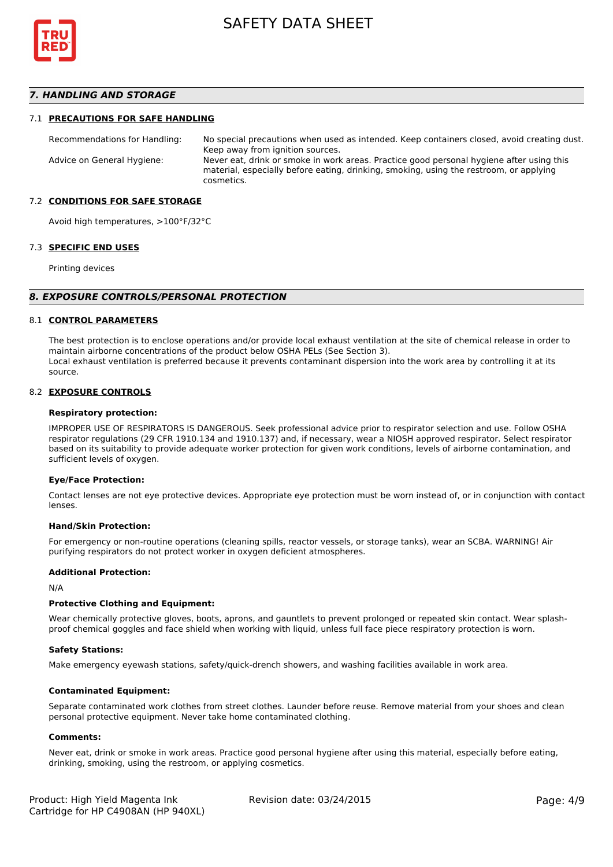

### *7. HANDLING AND STORAGE*

#### 7.1 **PRECAUTIONS FOR SAFE HANDLING**

Recommendations for Handling: No special precautions when used as intended. Keep containers closed, avoid creating dust. Keep away from ignition sources. Advice on General Hygiene: Never eat, drink or smoke in work areas. Practice good personal hygiene after using this material, especially before eating, drinking, smoking, using the restroom, or applying cosmetics.

#### 7.2 **CONDITIONS FOR SAFE STORAGE**

Avoid high temperatures, >100°F/32°C

#### 7.3 **SPECIFIC END USES**

Printing devices

#### *8. EXPOSURE CONTROLS/PERSONAL PROTECTION*

#### 8.1 **CONTROL PARAMETERS**

The best protection is to enclose operations and/or provide local exhaust ventilation at the site of chemical release in order to maintain airborne concentrations of the product below OSHA PELs (See Section 3). Local exhaust ventilation is preferred because it prevents contaminant dispersion into the work area by controlling it at its source.

#### 8.2 **EXPOSURE CONTROLS**

#### **Respiratory protection:**

IMPROPER USE OF RESPIRATORS IS DANGEROUS. Seek professional advice prior to respirator selection and use. Follow OSHA respirator regulations (29 CFR 1910.134 and 1910.137) and, if necessary, wear a NIOSH approved respirator. Select respirator based on its suitability to provide adequate worker protection for given work conditions, levels of airborne contamination, and sufficient levels of oxygen.

#### **Eye/Face Protection:**

Contact lenses are not eye protective devices. Appropriate eye protection must be worn instead of, or in conjunction with contact lenses.

#### **Hand/Skin Protection:**

For emergency or non-routine operations (cleaning spills, reactor vessels, or storage tanks), wear an SCBA. WARNING! Air purifying respirators do not protect worker in oxygen deficient atmospheres.

#### **Additional Protection:**

N/A

#### **Protective Clothing and Equipment:**

Wear chemically protective gloves, boots, aprons, and gauntlets to prevent prolonged or repeated skin contact. Wear splashproof chemical goggles and face shield when working with liquid, unless full face piece respiratory protection is worn.

#### **Safety Stations:**

Make emergency eyewash stations, safety/quick-drench showers, and washing facilities available in work area.

#### **Contaminated Equipment:**

Separate contaminated work clothes from street clothes. Launder before reuse. Remove material from your shoes and clean personal protective equipment. Never take home contaminated clothing.

#### **Comments:**

Never eat, drink or smoke in work areas. Practice good personal hygiene after using this material, especially before eating, drinking, smoking, using the restroom, or applying cosmetics.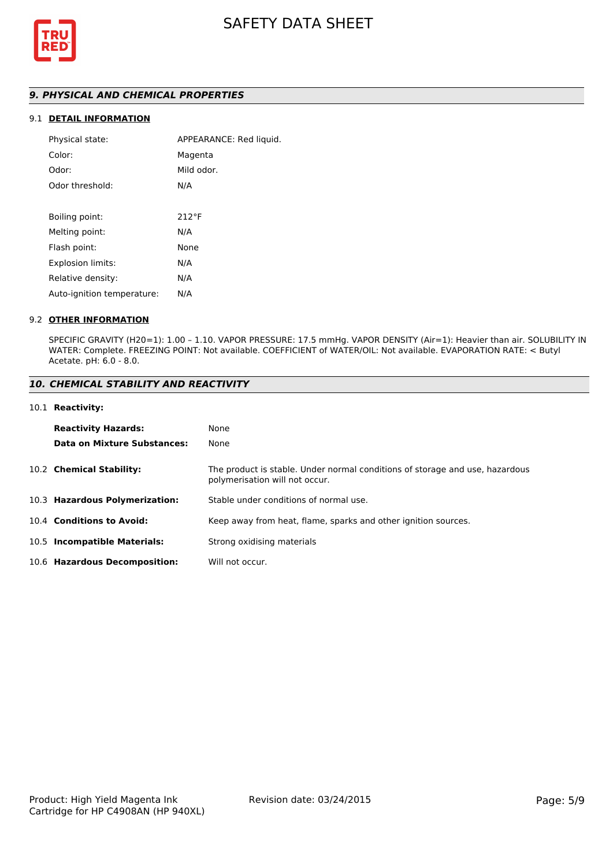

## *9. PHYSICAL AND CHEMICAL PROPERTIES*

## 9.1 **DETAIL INFORMATION**

| APPEARANCE: Red liquid. |
|-------------------------|
| Magenta                 |
| Mild odor.              |
| N/A                     |
|                         |
| $212^{\circ}F$          |
| N/A                     |
| None                    |
| N/A                     |
| N/A                     |
| N/A                     |
|                         |

### 9.2 **OTHER INFORMATION**

SPECIFIC GRAVITY (H20=1): 1.00 – 1.10. VAPOR PRESSURE: 17.5 mmHg. VAPOR DENSITY (Air=1): Heavier than air. SOLUBILITY IN WATER: Complete. FREEZING POINT: Not available. COEFFICIENT of WATER/OIL: Not available. EVAPORATION RATE: < Butyl Acetate. pH: 6.0 - 8.0.

### *10. CHEMICAL STABILITY AND REACTIVITY*

#### 10.1 **Reactivity:**

| <b>Reactivity Hazards:</b>     | None                                                                                                           |
|--------------------------------|----------------------------------------------------------------------------------------------------------------|
| Data on Mixture Substances:    | None                                                                                                           |
| 10.2 Chemical Stability:       | The product is stable. Under normal conditions of storage and use, hazardous<br>polymerisation will not occur. |
| 10.3 Hazardous Polymerization: | Stable under conditions of normal use.                                                                         |
| 10.4 Conditions to Avoid:      | Keep away from heat, flame, sparks and other ignition sources.                                                 |
| 10.5 Incompatible Materials:   | Strong oxidising materials                                                                                     |
| 10.6 Hazardous Decomposition:  | Will not occur.                                                                                                |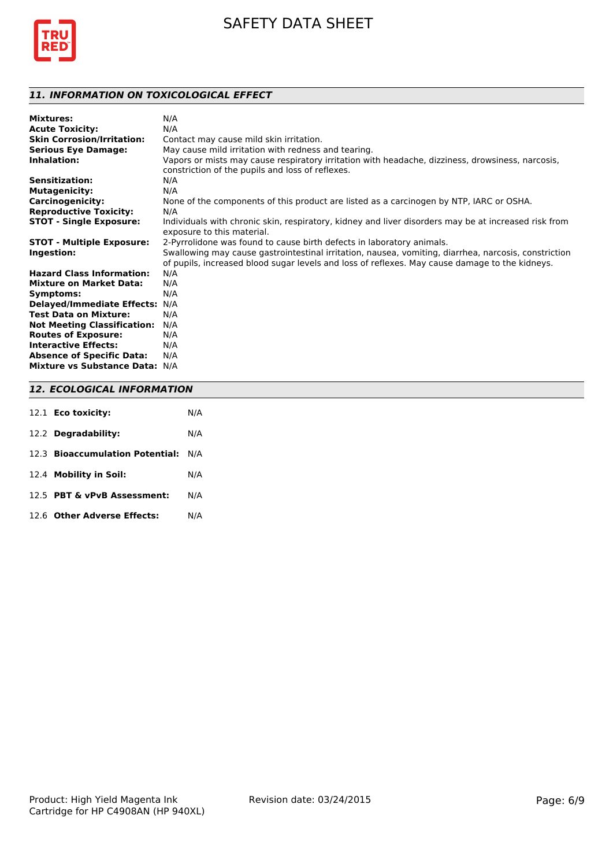

## *11. INFORMATION ON TOXICOLOGICAL EFFECT*

| Mixtures:                          | N/A                                                                                                  |
|------------------------------------|------------------------------------------------------------------------------------------------------|
| <b>Acute Toxicity:</b>             | N/A                                                                                                  |
| <b>Skin Corrosion/Irritation:</b>  | Contact may cause mild skin irritation.                                                              |
| <b>Serious Eye Damage:</b>         | May cause mild irritation with redness and tearing.                                                  |
| Inhalation:                        | Vapors or mists may cause respiratory irritation with headache, dizziness, drowsiness, narcosis,     |
|                                    | constriction of the pupils and loss of reflexes.                                                     |
| <b>Sensitization:</b>              | N/A                                                                                                  |
| <b>Mutagenicity:</b>               | N/A                                                                                                  |
| <b>Carcinogenicity:</b>            | None of the components of this product are listed as a carcinogen by NTP, IARC or OSHA.              |
| <b>Reproductive Toxicity:</b>      | N/A                                                                                                  |
| <b>STOT - Single Exposure:</b>     | Individuals with chronic skin, respiratory, kidney and liver disorders may be at increased risk from |
|                                    | exposure to this material.                                                                           |
| <b>STOT - Multiple Exposure:</b>   | 2-Pyrrolidone was found to cause birth defects in laboratory animals.                                |
| Ingestion:                         | Swallowing may cause gastrointestinal irritation, nausea, vomiting, diarrhea, narcosis, constriction |
|                                    | of pupils, increased blood sugar levels and loss of reflexes. May cause damage to the kidneys.       |
| <b>Hazard Class Information:</b>   | N/A                                                                                                  |
| <b>Mixture on Market Data:</b>     | N/A                                                                                                  |
| Symptoms:                          | N/A                                                                                                  |
| Delayed/Immediate Effects: N/A     |                                                                                                      |
| <b>Test Data on Mixture:</b>       | N/A                                                                                                  |
| <b>Not Meeting Classification:</b> | N/A                                                                                                  |
| <b>Routes of Exposure:</b>         | N/A                                                                                                  |
| <b>Interactive Effects:</b>        | N/A                                                                                                  |
| <b>Absence of Specific Data:</b>   | N/A                                                                                                  |
| Mixture vs Substance Data: N/A     |                                                                                                      |
|                                    |                                                                                                      |

## *12. ECOLOGICAL INFORMATION* 12.1 **Eco toxicity:** N/A

| <b>IZ.I ECO TOXICITY:</b>       | N/A |
|---------------------------------|-----|
| 12.2 Degradability:             | N/A |
| 12.3 Bioaccumulation Potential: | N/A |
| 12.4 Mobility in Soil:          | N/A |
| 12.5 PBT & vPvB Assessment:     | N/A |
| 12.6 Other Adverse Effects:     | N/A |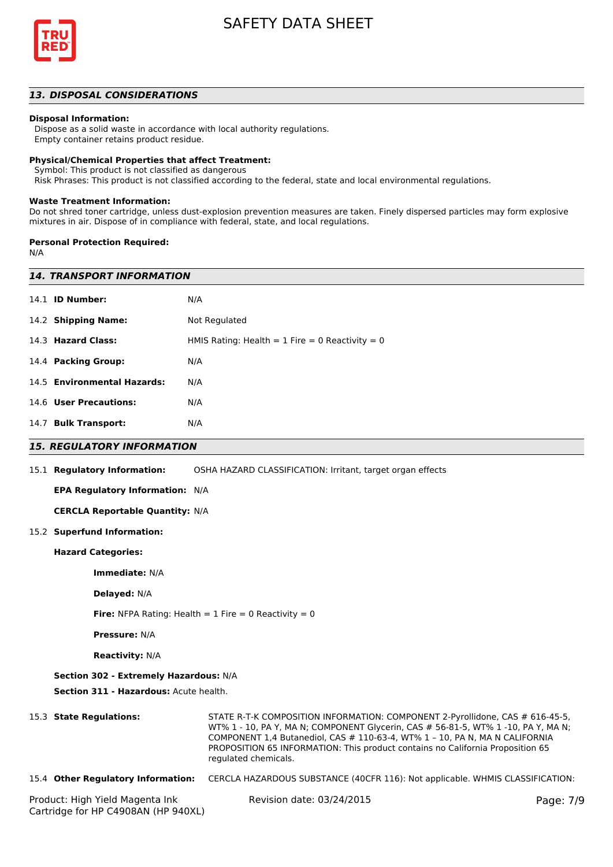

## *13. DISPOSAL CONSIDERATIONS*

#### **Disposal Information:**

 Dispose as a solid waste in accordance with local authority regulations. Empty container retains product residue.

#### **Physical/Chemical Properties that affect Treatment:**

Symbol: This product is not classified as dangerous

Risk Phrases: This product is not classified according to the federal, state and local environmental regulations.

#### **Waste Treatment Information:**

Do not shred toner cartridge, unless dust-explosion prevention measures are taken. Finely dispersed particles may form explosive mixtures in air. Dispose of in compliance with federal, state, and local regulations.

#### **Personal Protection Required:**

Cartridge for HP C4908AN (HP 940XL)

N/A

| <b>14. TRANSPORT INFORMATION</b>                               |                                                                                                                                                                                                                                                                                                                                                             |           |  |  |
|----------------------------------------------------------------|-------------------------------------------------------------------------------------------------------------------------------------------------------------------------------------------------------------------------------------------------------------------------------------------------------------------------------------------------------------|-----------|--|--|
| 14.1 <b>ID Number:</b>                                         | N/A                                                                                                                                                                                                                                                                                                                                                         |           |  |  |
| 14.2 Shipping Name:                                            | Not Regulated                                                                                                                                                                                                                                                                                                                                               |           |  |  |
| 14.3 Hazard Class:                                             | HMIS Rating: Health = $1$ Fire = 0 Reactivity = 0                                                                                                                                                                                                                                                                                                           |           |  |  |
| 14.4 Packing Group:                                            | N/A                                                                                                                                                                                                                                                                                                                                                         |           |  |  |
| 14.5 Environmental Hazards:                                    | N/A                                                                                                                                                                                                                                                                                                                                                         |           |  |  |
| 14.6 User Precautions:                                         | N/A                                                                                                                                                                                                                                                                                                                                                         |           |  |  |
| 14.7 Bulk Transport:                                           | N/A                                                                                                                                                                                                                                                                                                                                                         |           |  |  |
| <b>15. REGULATORY INFORMATION</b>                              |                                                                                                                                                                                                                                                                                                                                                             |           |  |  |
| 15.1 Regulatory Information:                                   | OSHA HAZARD CLASSIFICATION: Irritant, target organ effects                                                                                                                                                                                                                                                                                                  |           |  |  |
| EPA Regulatory Information: N/A                                |                                                                                                                                                                                                                                                                                                                                                             |           |  |  |
| <b>CERCLA Reportable Quantity: N/A</b>                         |                                                                                                                                                                                                                                                                                                                                                             |           |  |  |
| 15.2 Superfund Information:                                    |                                                                                                                                                                                                                                                                                                                                                             |           |  |  |
| <b>Hazard Categories:</b>                                      |                                                                                                                                                                                                                                                                                                                                                             |           |  |  |
| Immediate: N/A                                                 |                                                                                                                                                                                                                                                                                                                                                             |           |  |  |
| Delayed: N/A                                                   |                                                                                                                                                                                                                                                                                                                                                             |           |  |  |
| <b>Fire:</b> NFPA Rating: Health = $1$ Fire = 0 Reactivity = 0 |                                                                                                                                                                                                                                                                                                                                                             |           |  |  |
| <b>Pressure: N/A</b>                                           |                                                                                                                                                                                                                                                                                                                                                             |           |  |  |
| <b>Reactivity: N/A</b>                                         |                                                                                                                                                                                                                                                                                                                                                             |           |  |  |
| Section 302 - Extremely Hazardous: N/A                         |                                                                                                                                                                                                                                                                                                                                                             |           |  |  |
| Section 311 - Hazardous: Acute health.                         |                                                                                                                                                                                                                                                                                                                                                             |           |  |  |
| 15.3 State Regulations:                                        | STATE R-T-K COMPOSITION INFORMATION: COMPONENT 2-Pyrollidone, CAS # 616-45-5,<br>WT% 1 - 10, PA Y, MA N; COMPONENT Glycerin, CAS # 56-81-5, WT% 1 -10, PA Y, MA N;<br>COMPONENT 1,4 Butanediol, CAS # 110-63-4, WT% 1 - 10, PA N, MA N CALIFORNIA<br>PROPOSITION 65 INFORMATION: This product contains no California Proposition 65<br>regulated chemicals. |           |  |  |
| 15.4 Other Regulatory Information:                             | CERCLA HAZARDOUS SUBSTANCE (40CFR 116): Not applicable. WHMIS CLASSIFICATION:                                                                                                                                                                                                                                                                               |           |  |  |
| Product: High Yield Magenta Ink                                | Revision date: 03/24/2015                                                                                                                                                                                                                                                                                                                                   | Page: 7/9 |  |  |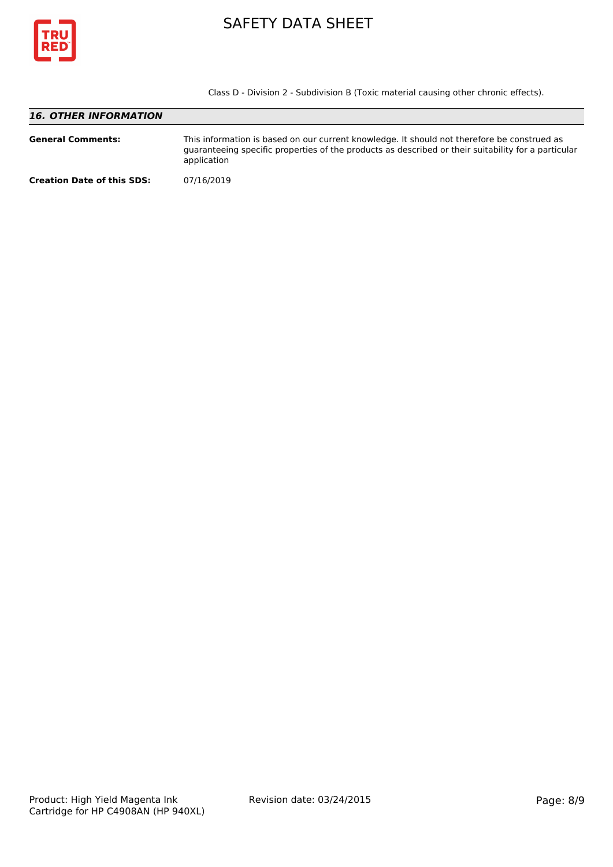

Class D - Division 2 - Subdivision B (Toxic material causing other chronic effects).

## *16. OTHER INFORMATION* **General Comments:** This information is based on our current knowledge. It should not therefore be construed as guaranteeing specific properties of the products as described or their suitability for a particular application **Creation Date of this SDS:** 07/16/2019